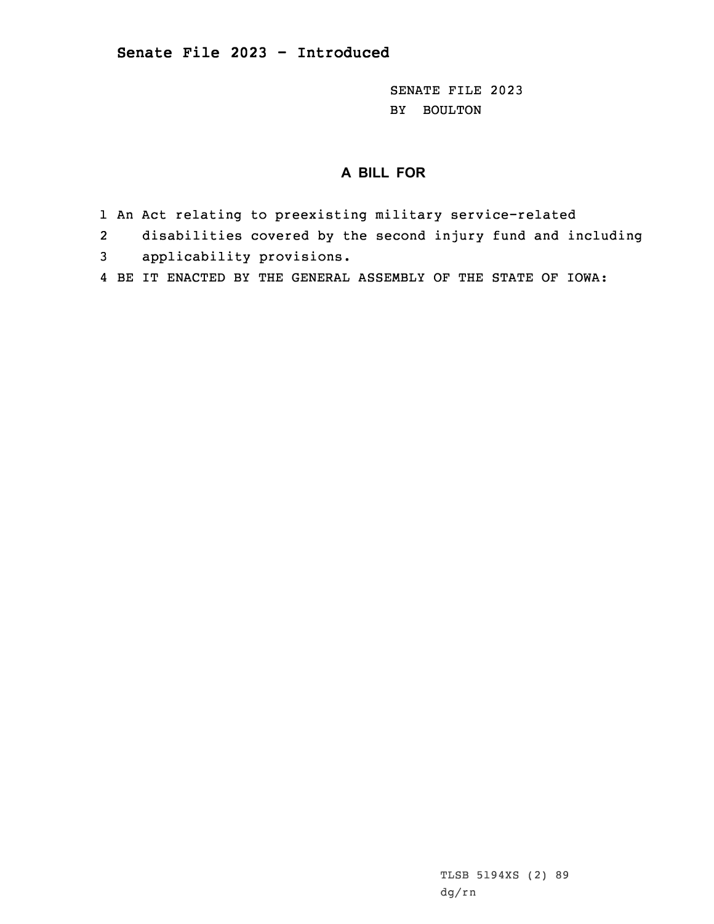SENATE FILE 2023 BY BOULTON

## **A BILL FOR**

- 1 An Act relating to preexisting military service-related
- 2disabilities covered by the second injury fund and including
- 3 applicability provisions.
- 4 BE IT ENACTED BY THE GENERAL ASSEMBLY OF THE STATE OF IOWA: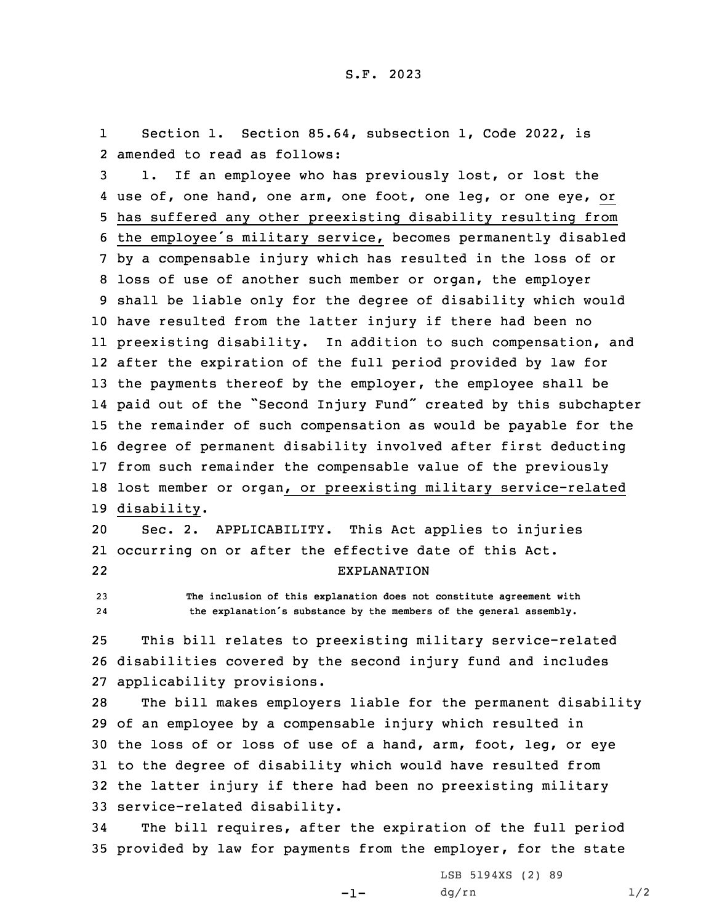1 Section 1. Section 85.64, subsection 1, Code 2022, is 2 amended to read as follows:

 1. If an employee who has previously lost, or lost the use of, one hand, one arm, one foot, one leg, or one eye, or has suffered any other preexisting disability resulting from the employee's military service, becomes permanently disabled by <sup>a</sup> compensable injury which has resulted in the loss of or loss of use of another such member or organ, the employer shall be liable only for the degree of disability which would have resulted from the latter injury if there had been no preexisting disability. In addition to such compensation, and after the expiration of the full period provided by law for 13 the payments thereof by the employer, the employee shall be paid out of the "Second Injury Fund" created by this subchapter the remainder of such compensation as would be payable for the degree of permanent disability involved after first deducting from such remainder the compensable value of the previously lost member or organ, or preexisting military service-related disability.

20 Sec. 2. APPLICABILITY. This Act applies to injuries 21 occurring on or after the effective date of this Act. 22EXPLANATION

23 **The inclusion of this explanation does not constitute agreement with** 24**the explanation's substance by the members of the general assembly.**

25 This bill relates to preexisting military service-related 26 disabilities covered by the second injury fund and includes 27 applicability provisions.

 The bill makes employers liable for the permanent disability of an employee by <sup>a</sup> compensable injury which resulted in the loss of or loss of use of <sup>a</sup> hand, arm, foot, leg, or eye to the degree of disability which would have resulted from the latter injury if there had been no preexisting military service-related disability.

34 The bill requires, after the expiration of the full period 35 provided by law for payments from the employer, for the state

-1-

LSB 5194XS (2) 89  $dg/rn$  1/2